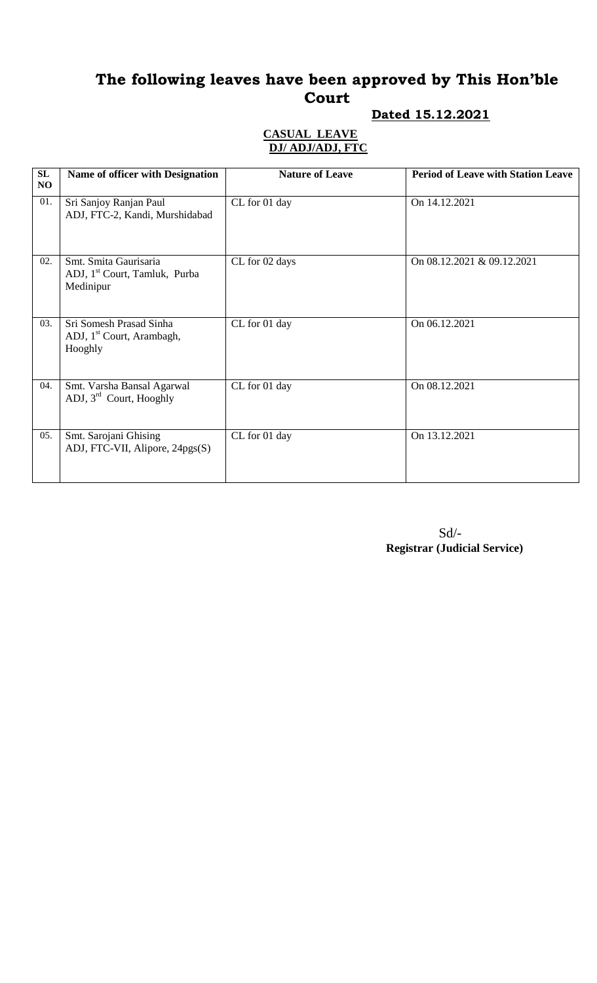# **Dated 15.12.2021**

| SL<br>NO | <b>Name of officer with Designation</b>                                         | <b>Nature of Leave</b> | <b>Period of Leave with Station Leave</b> |
|----------|---------------------------------------------------------------------------------|------------------------|-------------------------------------------|
| 01.      | Sri Sanjoy Ranjan Paul<br>ADJ, FTC-2, Kandi, Murshidabad                        | CL for 01 day          | On 14.12.2021                             |
| 02.      | Smt. Smita Gaurisaria<br>ADJ, 1 <sup>st</sup> Court, Tamluk, Purba<br>Medinipur | CL for 02 days         | On 08.12.2021 & 09.12.2021                |
| 03.      | Sri Somesh Prasad Sinha<br>ADJ, 1 <sup>st</sup> Court, Arambagh,<br>Hooghly     | CL for 01 day          | On 06.12.2021                             |
| 04.      | Smt. Varsha Bansal Agarwal<br>ADJ, 3 <sup>rd</sup> Court, Hooghly               | CL for 01 day          | On 08.12.2021                             |
| 05.      | Smt. Sarojani Ghising<br>ADJ, FTC-VII, Alipore, 24pgs(S)                        | CL for 01 day          | On 13.12.2021                             |

| $Sd$ –                              |
|-------------------------------------|
| <b>Registrar (Judicial Service)</b> |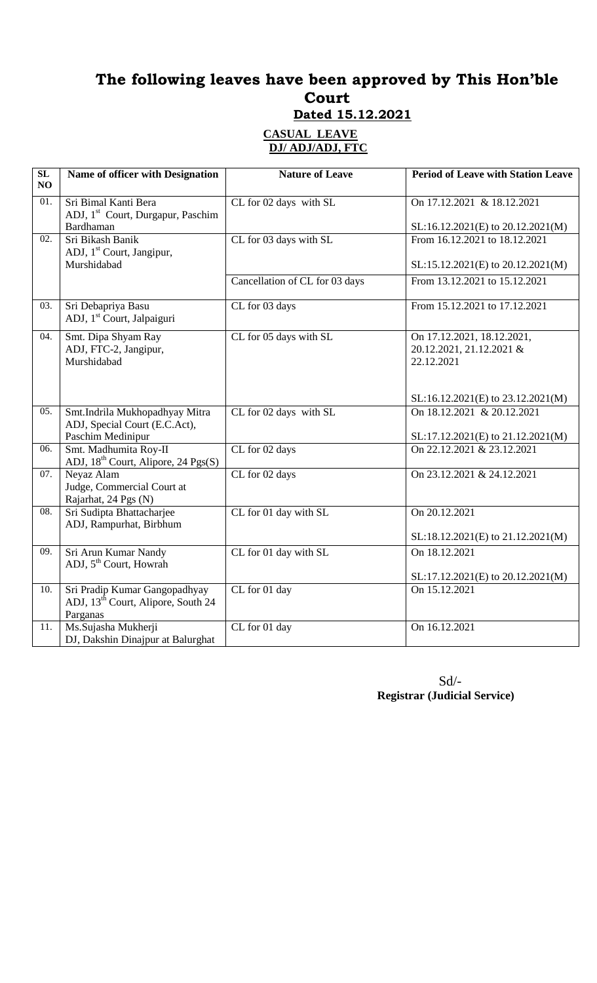| SL<br>NO          | Name of officer with Designation                                                | <b>Nature of Leave</b>         | <b>Period of Leave with Station Leave</b>              |
|-------------------|---------------------------------------------------------------------------------|--------------------------------|--------------------------------------------------------|
| 01.               | Sri Bimal Kanti Bera<br>ADJ, 1 <sup>st</sup> Court, Durgapur, Paschim           | CL for 02 days with SL         | On 17.12.2021 & 18.12.2021                             |
|                   | <b>Bardhaman</b>                                                                |                                | SL:16.12.2021(E) to 20.12.2021(M)                      |
| $\overline{02}$ . | Sri Bikash Banik                                                                | CL for 03 days with SL         | From 16.12.2021 to 18.12.2021                          |
|                   | ADJ, 1 <sup>st</sup> Court, Jangipur,                                           |                                |                                                        |
|                   | Murshidabad                                                                     |                                | SL:15.12.2021(E) to 20.12.2021(M)                      |
|                   |                                                                                 | Cancellation of CL for 03 days | From 13.12.2021 to 15.12.2021                          |
| 03.               | Sri Debapriya Basu                                                              | CL for 03 days                 | From 15.12.2021 to 17.12.2021                          |
|                   | ADJ, 1 <sup>st</sup> Court, Jalpaiguri                                          |                                |                                                        |
| 04.               | Smt. Dipa Shyam Ray<br>ADJ, FTC-2, Jangipur,                                    | CL for 05 days with SL         | On 17.12.2021, 18.12.2021,<br>20.12.2021, 21.12.2021 & |
|                   | Murshidabad                                                                     |                                | 22.12.2021                                             |
|                   |                                                                                 |                                |                                                        |
|                   |                                                                                 |                                | SL:16.12.2021(E) to 23.12.2021(M)                      |
| 05.               | Smt.Indrila Mukhopadhyay Mitra                                                  | CL for 02 days with SL         | On 18.12.2021 & 20.12.2021                             |
|                   | ADJ, Special Court (E.C.Act),                                                   |                                |                                                        |
|                   | Paschim Medinipur                                                               |                                | SL:17.12.2021(E) to 21.12.2021(M)                      |
| 06.               | Smt. Madhumita Roy-II                                                           | CL for 02 days                 | On 22.12.2021 & 23.12.2021                             |
|                   | ADJ, 18 <sup>th</sup> Court, Alipore, 24 Pgs(S)                                 |                                |                                                        |
| 07.               | Neyaz Alam                                                                      | CL for 02 days                 | On 23.12.2021 & 24.12.2021                             |
|                   | Judge, Commercial Court at                                                      |                                |                                                        |
|                   | Rajarhat, 24 Pgs (N)                                                            |                                |                                                        |
| 08.               | Sri Sudipta Bhattacharjee                                                       | CL for 01 day with SL          | On 20.12.2021                                          |
|                   | ADJ, Rampurhat, Birbhum                                                         |                                |                                                        |
|                   |                                                                                 |                                | SL:18.12.2021(E) to 21.12.2021(M)                      |
| 09.               | Sri Arun Kumar Nandy<br>ADJ, 5 <sup>th</sup> Court, Howrah                      | CL for 01 day with SL          | On 18.12.2021                                          |
|                   |                                                                                 |                                |                                                        |
| 10.               |                                                                                 | CL for 01 day                  | SL:17.12.2021(E) to 20.12.2021(M)<br>On 15.12.2021     |
|                   | Sri Pradip Kumar Gangopadhyay<br>ADJ, 13 <sup>th</sup> Court, Alipore, South 24 |                                |                                                        |
|                   | Parganas                                                                        |                                |                                                        |
| 11.               | Ms.Sujasha Mukherji                                                             | CL for 01 day                  | On 16.12.2021                                          |
|                   | DJ, Dakshin Dinajpur at Balurghat                                               |                                |                                                        |

Sd/-  **Registrar (Judicial Service)**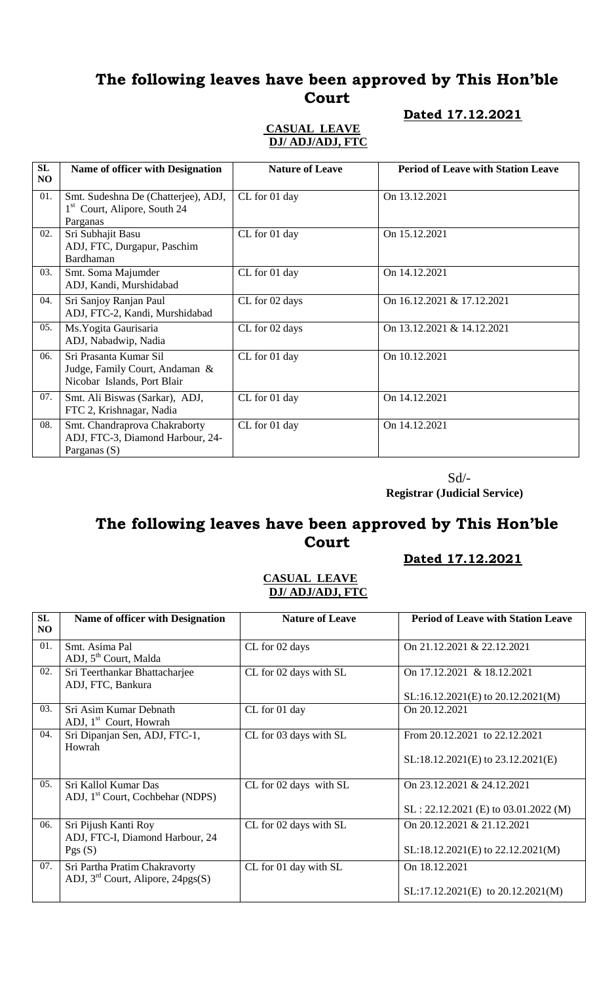### <u>**b**</u>

### **CASUAL LEAVE DJ/ ADJ/ADJ, FTC**

|  |  | Dated 17.12.202 |
|--|--|-----------------|
|--|--|-----------------|

| SL<br>NO | <b>Name of officer with Designation</b>                                                     | <b>Nature of Leave</b> | <b>Period of Leave with Station Leave</b> |
|----------|---------------------------------------------------------------------------------------------|------------------------|-------------------------------------------|
| 01.      | Smt. Sudeshna De (Chatterjee), ADJ,<br>1 <sup>st</sup> Court, Alipore, South 24<br>Parganas | CL for 01 day          | On 13.12.2021                             |
| 02.      | Sri Subhajit Basu<br>ADJ, FTC, Durgapur, Paschim<br>Bardhaman                               | CL for 01 day          | On 15.12.2021                             |
| 03.      | Smt. Soma Majumder<br>ADJ, Kandi, Murshidabad                                               | CL for 01 day          | On 14.12.2021                             |
| 04.      | Sri Sanjoy Ranjan Paul<br>ADJ, FTC-2, Kandi, Murshidabad                                    | CL for 02 days         | On 16.12.2021 & 17.12.2021                |
| 05.      | Ms. Yogita Gaurisaria<br>ADJ, Nabadwip, Nadia                                               | CL for 02 days         | On 13.12.2021 & 14.12.2021                |
| 06.      | Sri Prasanta Kumar Sil<br>Judge, Family Court, Andaman &<br>Nicobar Islands, Port Blair     | CL for 01 day          | On 10.12.2021                             |
| 07.      | Smt. Ali Biswas (Sarkar), ADJ,<br>FTC 2, Krishnagar, Nadia                                  | CL for 01 day          | On 14.12.2021                             |
| 08.      | Smt. Chandraprova Chakraborty<br>ADJ, FTC-3, Diamond Harbour, 24-<br>Parganas (S)           | CL for 01 day          | On 14.12.2021                             |

Sd/-

 **Registrar (Judicial Service)**

# **The following leaves have been approved by This Hon'ble Court**

### **Dated 17.12.2021**

| SL<br>NO. | <b>Name of officer with Designation</b>                              | <b>Nature of Leave</b> | <b>Period of Leave with Station Leave</b>                               |
|-----------|----------------------------------------------------------------------|------------------------|-------------------------------------------------------------------------|
| 01.       | Smt. Asima Pal<br>ADJ, 5 <sup>th</sup> Court, Malda                  | CL for 02 days         | On 21.12.2021 & 22.12.2021                                              |
| 02.       | Sri Teerthankar Bhattacharjee<br>ADJ, FTC, Bankura                   | CL for 02 days with SL | On 17.12.2021 & 18.12.2021                                              |
|           |                                                                      |                        | $SL:16.12.2021(E)$ to $20.12.2021(M)$                                   |
| 03.       | Sri Asim Kumar Debnath<br>ADJ, 1 <sup>st</sup> Court, Howrah         | CL for 01 day          | On 20.12.2021                                                           |
| 04.       | Sri Dipanjan Sen, ADJ, FTC-1,<br>Howrah                              | CL for 03 days with SL | From 20.12.2021 to 22.12.2021<br>SL:18.12.2021(E) to 23.12.2021(E)      |
| 05.       | Sri Kallol Kumar Das<br>ADJ, 1 <sup>st</sup> Court, Cochbehar (NDPS) | CL for 02 days with SL | On $23.12.2021 \& 24.12.2021$<br>$SL: 22.12.2021$ (E) to 03.01.2022 (M) |
| 06.       | Sri Pijush Kanti Roy<br>ADJ, FTC-I, Diamond Harbour, 24<br>Pgs(S)    | CL for 02 days with SL | On 20.12.2021 & 21.12.2021<br>SL:18.12.2021(E) to 22.12.2021(M)         |
| 07.       | Sri Partha Pratim Chakravorty<br>ADJ, $3rd$ Court, Alipore, 24pgs(S) | CL for 01 day with SL  | On 18.12.2021<br>$SL:17.12.2021(E)$ to $20.12.2021(M)$                  |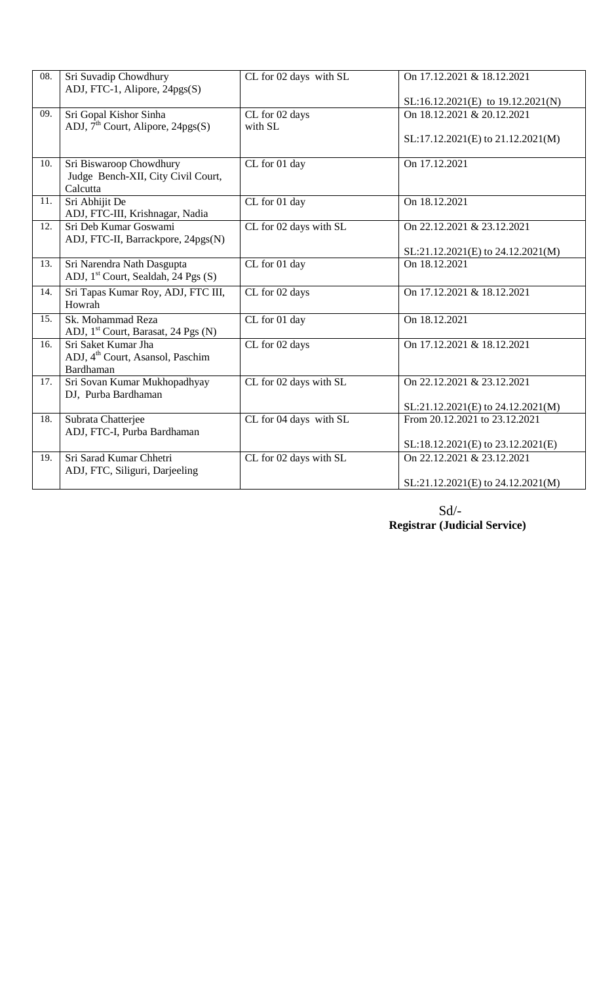| 08. | Sri Suvadip Chowdhury<br>ADJ, FTC-1, Alipore, 24pgs(S)              | CL for 02 days with SL | On 17.12.2021 & 18.12.2021        |
|-----|---------------------------------------------------------------------|------------------------|-----------------------------------|
|     |                                                                     |                        | SL:16.12.2021(E) to 19.12.2021(N) |
| 09. | Sri Gopal Kishor Sinha                                              | CL for 02 days         | On 18.12.2021 & 20.12.2021        |
|     | ADJ, $7th$ Court, Alipore, 24pgs(S)                                 | with SL                | SL:17.12.2021(E) to 21.12.2021(M) |
|     |                                                                     |                        |                                   |
| 10. | Sri Biswaroop Chowdhury                                             | CL for 01 day          | On 17.12.2021                     |
|     | Judge Bench-XII, City Civil Court,<br>Calcutta                      |                        |                                   |
| 11. | Sri Abhijit De                                                      | CL for 01 day          | On 18.12.2021                     |
|     | ADJ, FTC-III, Krishnagar, Nadia                                     |                        |                                   |
| 12. | Sri Deb Kumar Goswami                                               | CL for 02 days with SL | On 22.12.2021 & 23.12.2021        |
|     | ADJ, FTC-II, Barrackpore, 24pgs(N)                                  |                        |                                   |
|     |                                                                     |                        | SL:21.12.2021(E) to 24.12.2021(M) |
| 13. | Sri Narendra Nath Dasgupta<br>ADJ, $1st$ Court, Sealdah, 24 Pgs (S) | CL for 01 day          | On 18.12.2021                     |
| 14. | Sri Tapas Kumar Roy, ADJ, FTC III,                                  | CL for 02 days         | On 17.12.2021 & 18.12.2021        |
|     | Howrah                                                              |                        |                                   |
| 15. | Sk. Mohammad Reza                                                   | CL for 01 day          | On 18.12.2021                     |
|     | ADJ, 1 <sup>st</sup> Court, Barasat, 24 Pgs (N)                     |                        |                                   |
| 16. | Sri Saket Kumar Jha                                                 | CL for 02 days         | On 17.12.2021 & 18.12.2021        |
|     | ADJ, 4 <sup>th</sup> Court, Asansol, Paschim                        |                        |                                   |
|     | Bardhaman                                                           |                        |                                   |
| 17. | Sri Sovan Kumar Mukhopadhyay                                        | CL for 02 days with SL | On 22.12.2021 & 23.12.2021        |
|     | DJ, Purba Bardhaman                                                 |                        |                                   |
|     |                                                                     |                        | SL:21.12.2021(E) to 24.12.2021(M) |
| 18. | Subrata Chatterjee                                                  | CL for 04 days with SL | From 20.12.2021 to 23.12.2021     |
|     | ADJ, FTC-I, Purba Bardhaman                                         |                        | SL:18.12.2021(E) to 23.12.2021(E) |
|     |                                                                     |                        |                                   |
| 19. | Sri Sarad Kumar Chhetri<br>ADJ, FTC, Siliguri, Darjeeling           | CL for 02 days with SL | On 22,12,2021 & 23,12,2021        |
|     |                                                                     |                        | SL:21.12.2021(E) to 24.12.2021(M) |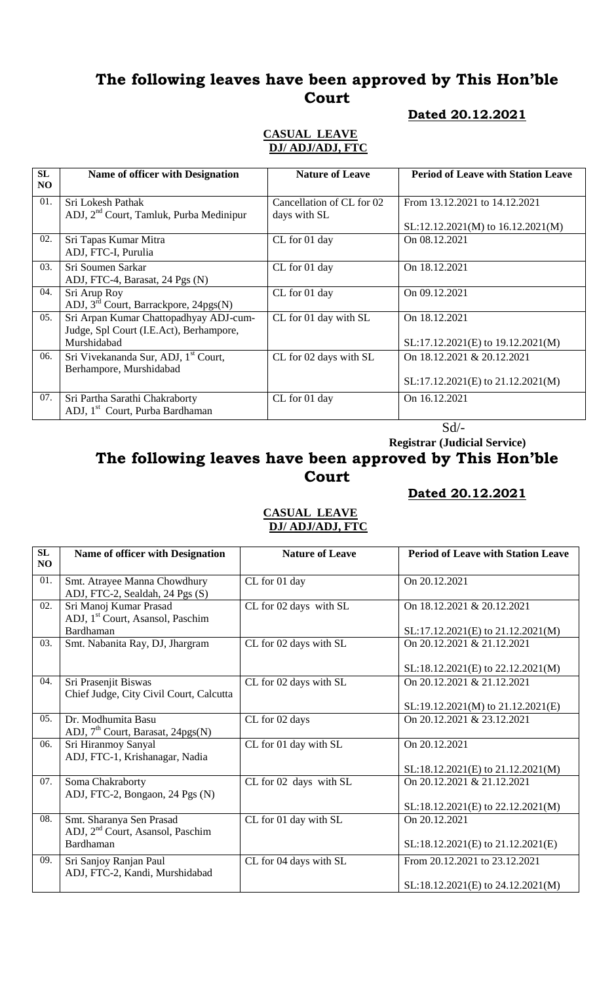#### **Dated 20.12.2021**

### **CASUAL LEAVE DJ/ ADJ/ADJ, FTC**

| <b>SL</b><br>N <sub>O</sub> | Name of officer with Designation                    | <b>Nature of Leave</b>    | <b>Period of Leave with Station Leave</b> |
|-----------------------------|-----------------------------------------------------|---------------------------|-------------------------------------------|
| 01.                         | Sri Lokesh Pathak                                   | Cancellation of CL for 02 | From 13.12.2021 to 14.12.2021             |
|                             | ADJ, 2 <sup>nd</sup> Court, Tamluk, Purba Medinipur | days with SL              |                                           |
|                             |                                                     |                           | $SL:12.12.2021(M)$ to $16.12.2021(M)$     |
| 02.                         | Sri Tapas Kumar Mitra                               | CL for 01 day             | On 08.12.2021                             |
|                             | ADJ, FTC-I, Purulia                                 |                           |                                           |
| 03.                         | Sri Soumen Sarkar                                   | CL for 01 day             | On 18.12.2021                             |
|                             | ADJ, FTC-4, Barasat, 24 Pgs (N)                     |                           |                                           |
| 04.                         | Sri Arup Roy                                        | CL for 01 day             | On 09.12.2021                             |
|                             | ADJ, $3rd$ Court, Barrackpore, 24pgs(N)             |                           |                                           |
| 05.                         | Sri Arpan Kumar Chattopadhyay ADJ-cum-              | CL for 01 day with SL     | On 18.12.2021                             |
|                             | Judge, Spl Court (I.E.Act), Berhampore,             |                           |                                           |
|                             | Murshidabad                                         |                           | SL:17.12.2021(E) to 19.12.2021(M)         |
| 06.                         | Sri Vivekananda Sur, ADJ, 1 <sup>st</sup> Court,    | CL for 02 days with SL    | On 18.12.2021 & 20.12.2021                |
|                             | Berhampore, Murshidabad                             |                           |                                           |
|                             |                                                     |                           | $SL:17.12.2021(E)$ to $21.12.2021(M)$     |
| 07.                         | Sri Partha Sarathi Chakraborty                      | CL for 01 day             | On 16.12.2021                             |
|                             | ADJ, 1 <sup>st</sup> Court, Purba Bardhaman         |                           |                                           |

Sd/-

 **Registrar (Judicial Service)**

# **The following leaves have been approved by This Hon'ble Court**

### **Dated 20.12.2021**

| SL<br>NO | Name of officer with Designation                                         | <b>Nature of Leave</b> | <b>Period of Leave with Station Leave</b> |
|----------|--------------------------------------------------------------------------|------------------------|-------------------------------------------|
| 01.      | Smt. Atrayee Manna Chowdhury<br>ADJ, FTC-2, Sealdah, 24 Pgs (S)          | CL for 01 day          | On 20.12.2021                             |
| 02.      | Sri Manoj Kumar Prasad<br>ADJ, 1 <sup>st</sup> Court, Asansol, Paschim   | CL for 02 days with SL | On 18.12.2021 & 20.12.2021                |
|          | Bardhaman                                                                |                        | $SL:17.12.2021(E)$ to $21.12.2021(M)$     |
| 03.      | Smt. Nabanita Ray, DJ, Jhargram                                          | CL for 02 days with SL | On 20.12.2021 & 21.12.2021                |
|          |                                                                          |                        | SL:18.12.2021(E) to 22.12.2021(M)         |
| 04.      | Sri Prasenjit Biswas<br>Chief Judge, City Civil Court, Calcutta          | CL for 02 days with SL | On 20.12.2021 & 21.12.2021                |
|          |                                                                          |                        | $SL:19.12.2021(M)$ to $21.12.2021(E)$     |
| 05.      | Dr. Modhumita Basu<br>ADJ, $7th$ Court, Barasat, 24pgs(N)                | CL for 02 days         | On 20.12.2021 & 23.12.2021                |
| 06.      | Sri Hiranmoy Sanyal<br>ADJ, FTC-1, Krishanagar, Nadia                    | CL for 01 day with SL  | On 20.12.2021                             |
|          |                                                                          |                        | $SL:18.12.2021(E)$ to $21.12.2021(M)$     |
| 07.      | Soma Chakraborty<br>ADJ, FTC-2, Bongaon, 24 Pgs (N)                      | CL for 02 days with SL | On 20.12.2021 & 21.12.2021                |
|          |                                                                          |                        | SL:18.12.2021(E) to 22.12.2021(M)         |
| 08.      | Smt. Sharanya Sen Prasad<br>ADJ, 2 <sup>nd</sup> Court, Asansol, Paschim | CL for 01 day with SL  | On 20.12.2021                             |
|          | Bardhaman                                                                |                        | SL:18.12.2021(E) to 21.12.2021(E)         |
| 09.      | Sri Sanjoy Ranjan Paul<br>ADJ, FTC-2, Kandi, Murshidabad                 | CL for 04 days with SL | From 20.12.2021 to 23.12.2021             |
|          |                                                                          |                        | $SL:18.12.2021(E)$ to 24.12.2021(M)       |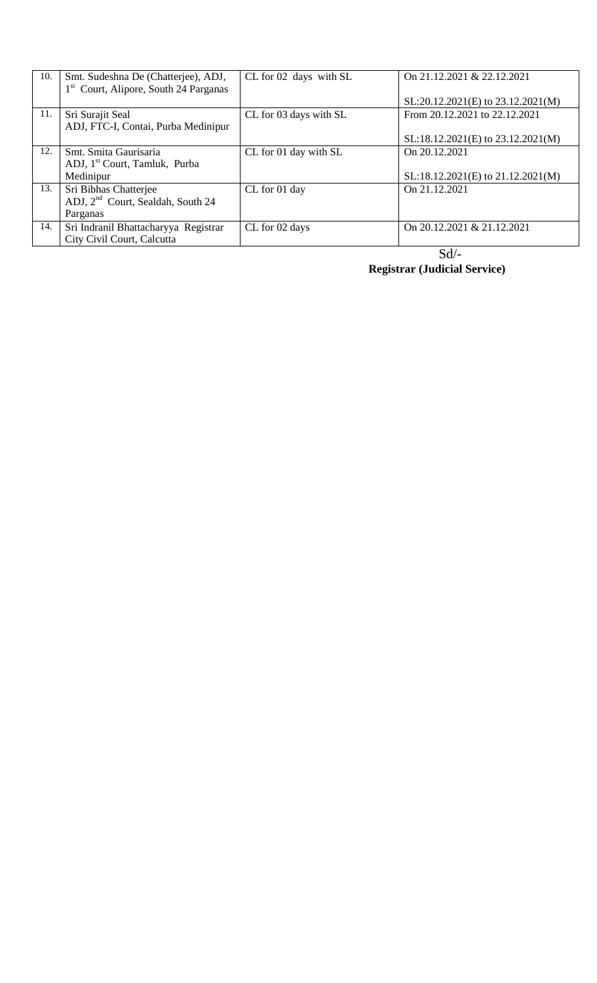| 10. | Smt. Sudeshna De (Chatterjee), ADJ,               | CL for 02 days with SL | On 21.12.2021 & 22.12.2021            |
|-----|---------------------------------------------------|------------------------|---------------------------------------|
|     | 1 <sup>st</sup> Court, Alipore, South 24 Parganas |                        |                                       |
|     |                                                   |                        | $SL:20.12.2021(E)$ to $23.12.2021(M)$ |
| 11. | Sri Surajit Seal                                  | CL for 03 days with SL | From 20.12.2021 to 22.12.2021         |
|     | ADJ, FTC-I, Contai, Purba Medinipur               |                        |                                       |
|     |                                                   |                        | $SL:18.12.2021(E)$ to $23.12.2021(M)$ |
| 12. | Smt. Smita Gaurisaria                             | CL for 01 day with SL  | On 20.12.2021                         |
|     | ADJ, 1 <sup>st</sup> Court, Tamluk, Purba         |                        |                                       |
|     | Medinipur                                         |                        | SL:18.12.2021(E) to 21.12.2021(M)     |
| 13. | Sri Bibhas Chatterjee                             | CL for 01 day          | On 21.12.2021                         |
|     | ADJ, 2 <sup>nd</sup> Court, Sealdah, South 24     |                        |                                       |
|     | Parganas                                          |                        |                                       |
| 14. | Sri Indranil Bhattacharyya Registrar              | CL for 02 days         | On 20.12.2021 & 21.12.2021            |
|     | City Civil Court, Calcutta                        |                        |                                       |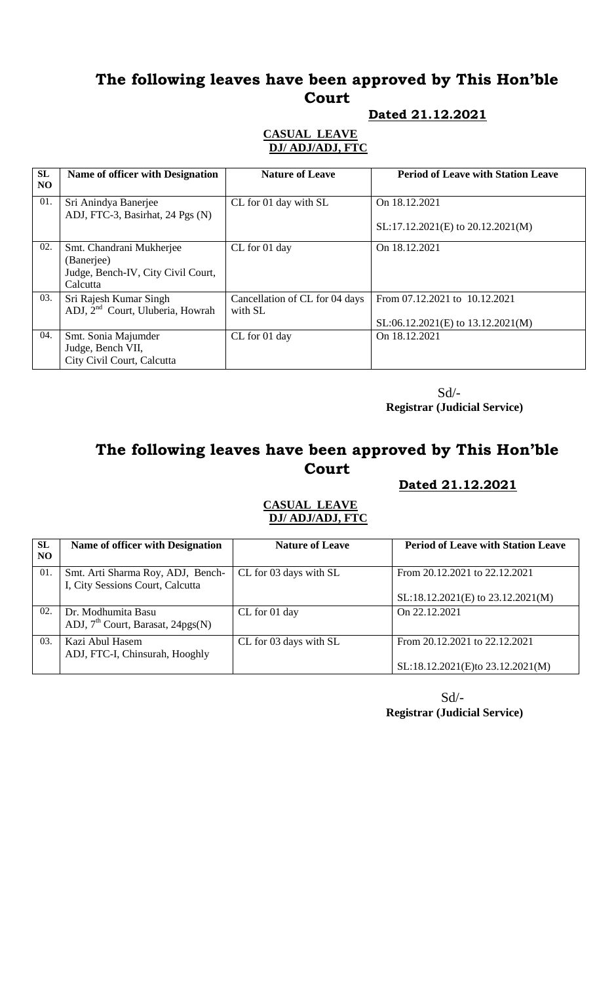### **Dated 21.12.2021**

### **CASUAL LEAVE DJ/ ADJ/ADJ, FTC**

| SL<br>NO. | Name of officer with Designation                                                         | <b>Nature of Leave</b>                    | <b>Period of Leave with Station Leave</b>                              |
|-----------|------------------------------------------------------------------------------------------|-------------------------------------------|------------------------------------------------------------------------|
| 01.       | Sri Anindya Banerjee<br>ADJ, FTC-3, Basirhat, 24 Pgs (N)                                 | CL for 01 day with SL                     | On 18.12.2021                                                          |
|           |                                                                                          |                                           | $SL:17.12.2021(E)$ to $20.12.2021(M)$                                  |
| 02.       | Smt. Chandrani Mukherjee<br>(Banerjee)<br>Judge, Bench-IV, City Civil Court,<br>Calcutta | CL for 01 day                             | On 18.12.2021                                                          |
| 03.       | Sri Rajesh Kumar Singh<br>ADJ, 2 <sup>nd</sup> Court, Uluberia, Howrah                   | Cancellation of CL for 04 days<br>with SL | From 07.12.2021 to 10.12.2021<br>$SL:06.12.2021(E)$ to $13.12.2021(M)$ |
| 04.       | Smt. Sonia Majumder<br>Judge, Bench VII,<br>City Civil Court, Calcutta                   | CL for 01 day                             | On 18.12.2021                                                          |

 Sd/-  **Registrar (Judicial Service)**

# **The following leaves have been approved by This Hon'ble Court**

### **Dated 21.12.2021**

### **CASUAL LEAVE DJ/ ADJ/ADJ, FTC**

| <b>SL</b><br>NO | <b>Name of officer with Designation</b>                               | <b>Nature of Leave</b> | <b>Period of Leave with Station Leave</b>                          |
|-----------------|-----------------------------------------------------------------------|------------------------|--------------------------------------------------------------------|
| 01.             | Smt. Arti Sharma Roy, ADJ, Bench-<br>I, City Sessions Court, Calcutta | CL for 03 days with SL | From 20.12.2021 to 22.12.2021<br>SL:18.12.2021(E) to 23.12.2021(M) |
| 02.             | Dr. Modhumita Basu<br>ADJ, 7 <sup>th</sup> Court, Barasat, 24pgs(N)   | CL for 01 day          | On 22.12.2021                                                      |
| 03.             | Kazi Abul Hasem<br>ADJ, FTC-I, Chinsurah, Hooghly                     | CL for 03 days with SL | From 20.12.2021 to 22.12.2021<br>SL:18.12.2021(E)to 23.12.2021(M)  |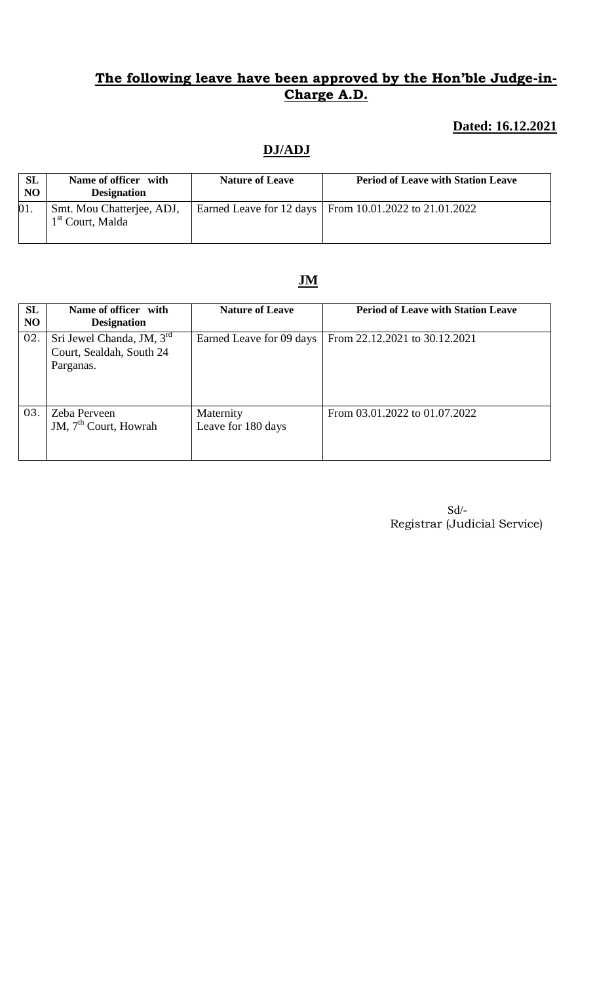## **Dated: 16.12.2021**

# **DJ/ADJ**

| <b>SL</b><br><b>NO</b> | Name of officer with<br><b>Designation</b>                | <b>Nature of Leave</b> | <b>Period of Leave with Station Leave</b>                |
|------------------------|-----------------------------------------------------------|------------------------|----------------------------------------------------------|
| 01.                    | Smt. Mou Chatterjee, ADJ,<br>1 <sup>st</sup> Court, Malda |                        | Earned Leave for 12 days   From 10.01.2022 to 21.01.2022 |

# **JM**

| SL<br>N <sub>O</sub> | Name of officer with<br><b>Designation</b>                         | <b>Nature of Leave</b>          | <b>Period of Leave with Station Leave</b> |
|----------------------|--------------------------------------------------------------------|---------------------------------|-------------------------------------------|
| 02.                  | Sri Jewel Chanda, JM, 3rd<br>Court, Sealdah, South 24<br>Parganas. | Earned Leave for 09 days        | From 22.12.2021 to 30.12.2021             |
| 03.                  | Zeba Perveen<br>JM, 7 <sup>th</sup> Court, Howrah                  | Maternity<br>Leave for 180 days | From 03.01.2022 to 01.07.2022             |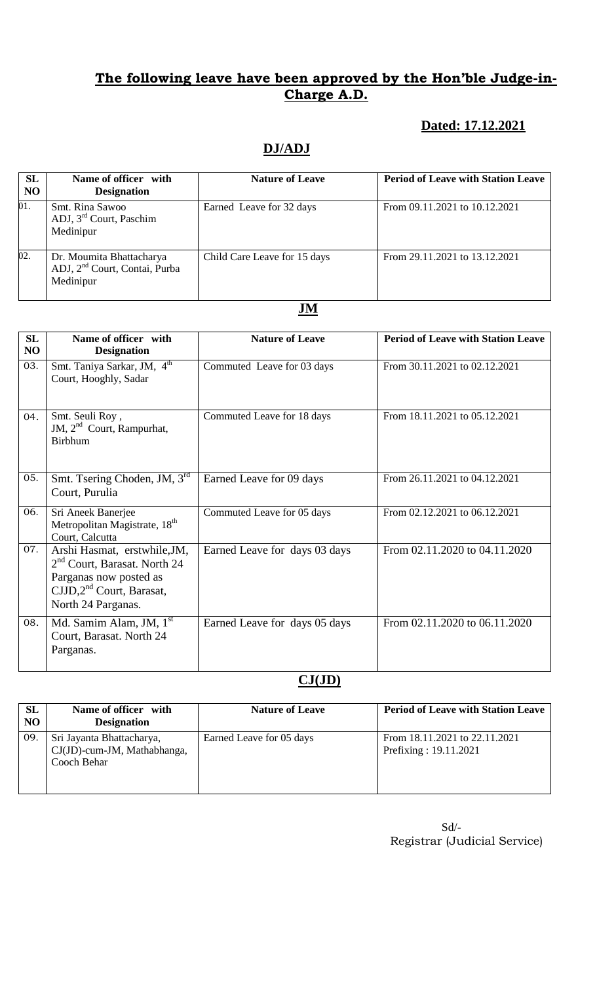## **Dated: 17.12.2021**

# **DJ/ADJ**

| <b>SL</b><br>N <sub>O</sub> | Name of officer with<br><b>Designation</b>                                         | <b>Nature of Leave</b>       | <b>Period of Leave with Station Leave</b> |
|-----------------------------|------------------------------------------------------------------------------------|------------------------------|-------------------------------------------|
| 01.                         | Smt. Rina Sawoo<br>ADJ, 3 <sup>rd</sup> Court, Paschim<br>Medinipur                | Earned Leave for 32 days     | From 09.11.2021 to 10.12.2021             |
| 02.                         | Dr. Moumita Bhattacharya<br>ADJ, 2 <sup>nd</sup> Court, Contai, Purba<br>Medinipur | Child Care Leave for 15 days | From 29.11.2021 to 13.12.2021             |

### **JM**

| <b>SL</b><br>NO | Name of officer with<br><b>Designation</b>                                                                                                    | <b>Nature of Leave</b>        | <b>Period of Leave with Station Leave</b> |
|-----------------|-----------------------------------------------------------------------------------------------------------------------------------------------|-------------------------------|-------------------------------------------|
| 03.             | Smt. Taniya Sarkar, JM, 4 <sup>th</sup><br>Court, Hooghly, Sadar                                                                              | Commuted Leave for 03 days    | From 30.11.2021 to 02.12.2021             |
| 04.             | Smt. Seuli Roy,<br>JM, 2 <sup>nd</sup> Court, Rampurhat,<br><b>Birbhum</b>                                                                    | Commuted Leave for 18 days    | From 18.11.2021 to 05.12.2021             |
| 05.             | Smt. Tsering Choden, JM, 3 <sup>rd</sup><br>Court, Purulia                                                                                    | Earned Leave for 09 days      | From 26.11.2021 to 04.12.2021             |
| 06.             | Sri Aneek Banerjee<br>Metropolitan Magistrate, 18 <sup>th</sup><br>Court, Calcutta                                                            | Commuted Leave for 05 days    | From 02.12.2021 to 06.12.2021             |
| 07.             | Arshi Hasmat, erstwhile, JM,<br>$2nd$ Court, Barasat. North 24<br>Parganas now posted as<br>$CJJD, 2nd$ Court, Barasat,<br>North 24 Parganas. | Earned Leave for days 03 days | From 02.11.2020 to 04.11.2020             |
| 08.             | Md. Samim Alam, JM, 1 <sup>st</sup><br>Court, Barasat. North 24<br>Parganas.                                                                  | Earned Leave for days 05 days | From 02.11.2020 to 06.11.2020             |

## **CJ(JD)**

| <b>SL</b><br>N <sub>O</sub> | Name of officer with<br><b>Designation</b>                              | <b>Nature of Leave</b>   | <b>Period of Leave with Station Leave</b>              |
|-----------------------------|-------------------------------------------------------------------------|--------------------------|--------------------------------------------------------|
| 09.                         | Sri Jayanta Bhattacharya,<br>CJ(JD)-cum-JM, Mathabhanga,<br>Cooch Behar | Earned Leave for 05 days | From 18.11.2021 to 22.11.2021<br>Prefixing: 19.11.2021 |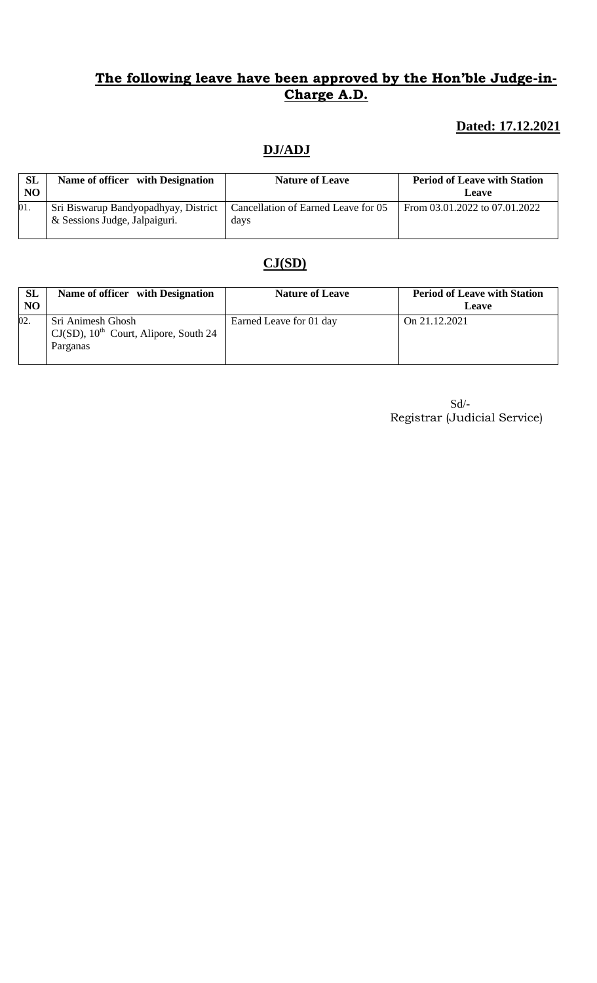## **Dated: 17.12.2021**

# **DJ/ADJ**

| <b>SL</b><br><b>NO</b> | Name of officer with Designation                                      | <b>Nature of Leave</b>                      | <b>Period of Leave with Station</b><br>Leave |
|------------------------|-----------------------------------------------------------------------|---------------------------------------------|----------------------------------------------|
| 01.                    | Sri Biswarup Bandyopadhyay, District<br>& Sessions Judge, Jalpaiguri. | Cancellation of Earned Leave for 05<br>days | From 03.01.2022 to 07.01.2022                |

# **CJ(SD)**

| <b>SL</b><br>NO. | Name of officer with Designation                                                      | <b>Nature of Leave</b>  | <b>Period of Leave with Station</b><br>Leave |
|------------------|---------------------------------------------------------------------------------------|-------------------------|----------------------------------------------|
| 02.              | Sri Animesh Ghosh<br>$CJ(SD)$ , 10 <sup>th</sup> Court, Alipore, South 24<br>Parganas | Earned Leave for 01 day | On 21.12.2021                                |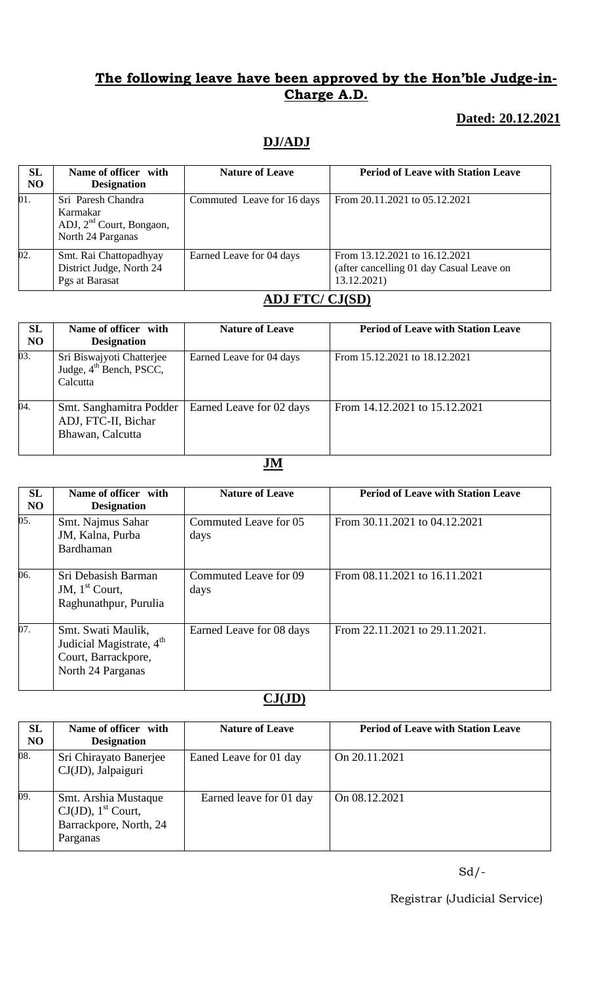## **Dated: 20.12.2021**

## **DJ/ADJ**

| SL<br>N <sub>O</sub> | Name of officer with<br><b>Designation</b>                                                  | <b>Nature of Leave</b>     | <b>Period of Leave with Station Leave</b>                                                |
|----------------------|---------------------------------------------------------------------------------------------|----------------------------|------------------------------------------------------------------------------------------|
| 01.                  | Sri Paresh Chandra<br>Karmakar<br>ADJ, 2 <sup>nd</sup> Court, Bongaon,<br>North 24 Parganas | Commuted Leave for 16 days | From 20.11.2021 to 05.12.2021                                                            |
| 02.                  | Smt. Rai Chattopadhyay<br>District Judge, North 24<br>Pgs at Barasat                        | Earned Leave for 04 days   | From 13.12.2021 to 16.12.2021<br>(after cancelling 01 day Casual Leave on<br>13.12.2021) |

### **ADJ FTC/ CJ(SD)**

| SL<br><b>NO</b> | Name of officer with<br><b>Designation</b>                                   | <b>Nature of Leave</b>   | <b>Period of Leave with Station Leave</b> |
|-----------------|------------------------------------------------------------------------------|--------------------------|-------------------------------------------|
| 03.             | Sri Biswajyoti Chatterjee<br>Judge, 4 <sup>th</sup> Bench, PSCC,<br>Calcutta | Earned Leave for 04 days | From 15.12.2021 to 18.12.2021             |
| 04.             | Smt. Sanghamitra Podder<br>ADJ, FTC-II, Bichar<br>Bhawan, Calcutta           | Earned Leave for 02 days | From 14.12.2021 to 15.12.2021             |

### **JM**

| SL<br><b>NO</b> | Name of officer with<br><b>Designation</b>                                                             | <b>Nature of Leave</b>        | <b>Period of Leave with Station Leave</b> |
|-----------------|--------------------------------------------------------------------------------------------------------|-------------------------------|-------------------------------------------|
| 05.             | Smt. Najmus Sahar<br>JM, Kalna, Purba<br>Bardhaman                                                     | Commuted Leave for 05<br>days | From 30.11.2021 to 04.12.2021             |
| 06.             | Sri Debasish Barman<br>JM, $1st$ Court,<br>Raghunathpur, Purulia                                       | Commuted Leave for 09<br>days | From 08.11.2021 to 16.11.2021             |
| 07.             | Smt. Swati Maulik,<br>Judicial Magistrate, 4 <sup>th</sup><br>Court, Barrackpore,<br>North 24 Parganas | Earned Leave for 08 days      | From 22.11.2021 to 29.11.2021.            |

# **CJ(JD)**

| SL<br>N <sub>O</sub> | Name of officer with<br><b>Designation</b>                                                      | <b>Nature of Leave</b>  | <b>Period of Leave with Station Leave</b> |
|----------------------|-------------------------------------------------------------------------------------------------|-------------------------|-------------------------------------------|
| 08.                  | Sri Chirayato Banerjee<br>CJ(JD), Jalpaiguri                                                    | Eaned Leave for 01 day  | On 20.11.2021                             |
| 09.                  | Smt. Arshia Mustaque<br>$CJ(JD)$ , 1 <sup>st</sup> Court,<br>Barrackpore, North, 24<br>Parganas | Earned leave for 01 day | On 08.12.2021                             |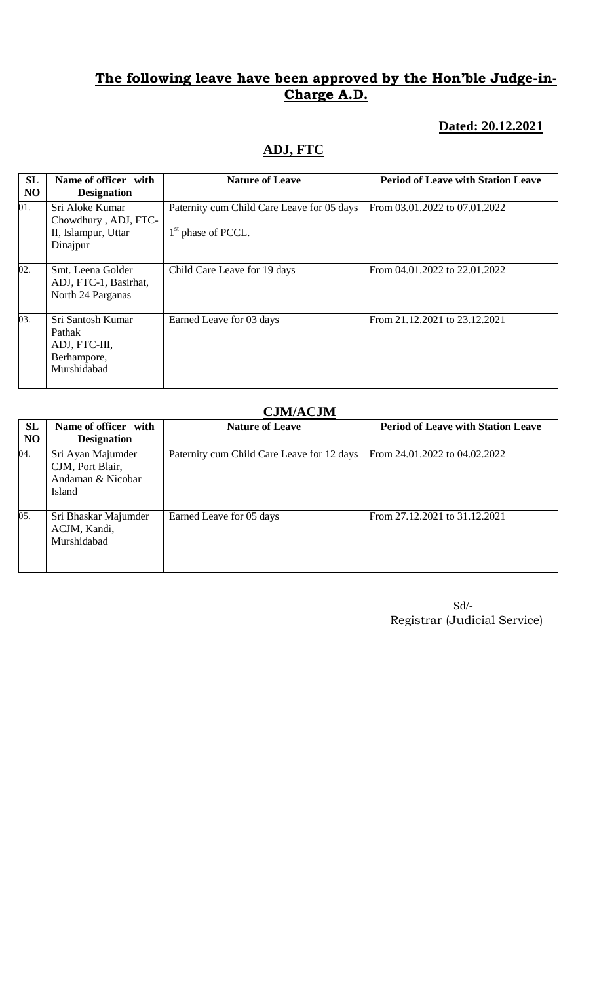### **Dated: 20.12.2021**

# **ADJ, FTC**

| <b>SL</b><br>N <sub>O</sub> | Name of officer with<br><b>Designation</b>                                 | <b>Nature of Leave</b>                                             | <b>Period of Leave with Station Leave</b> |
|-----------------------------|----------------------------------------------------------------------------|--------------------------------------------------------------------|-------------------------------------------|
| 01.                         | Sri Aloke Kumar<br>Chowdhury, ADJ, FTC-<br>II, Islampur, Uttar<br>Dinajpur | Paternity cum Child Care Leave for 05 days<br>$1st$ phase of PCCL. | From 03.01.2022 to 07.01.2022             |
| 02.                         | Smt. Leena Golder<br>ADJ, FTC-1, Basirhat,<br>North 24 Parganas            | Child Care Leave for 19 days                                       | From 04.01.2022 to 22.01.2022             |
| 03.                         | Sri Santosh Kumar<br>Pathak<br>ADJ, FTC-III,<br>Berhampore,<br>Murshidabad | Earned Leave for 03 days                                           | From 21.12.2021 to 23.12.2021             |

### **CJM/ACJM**

| <b>SL</b><br>N <sub>O</sub> | Name of officer with<br><b>Designation</b>                                  | <b>Nature of Leave</b>                     | <b>Period of Leave with Station Leave</b> |
|-----------------------------|-----------------------------------------------------------------------------|--------------------------------------------|-------------------------------------------|
| 04.                         | Sri Ayan Majumder<br>CJM, Port Blair,<br>Andaman & Nicobar<br><b>Island</b> | Paternity cum Child Care Leave for 12 days | From 24.01.2022 to 04.02.2022             |
| 05.                         | Sri Bhaskar Majumder<br>ACJM, Kandi,<br>Murshidabad                         | Earned Leave for 05 days                   | From 27.12.2021 to 31.12.2021             |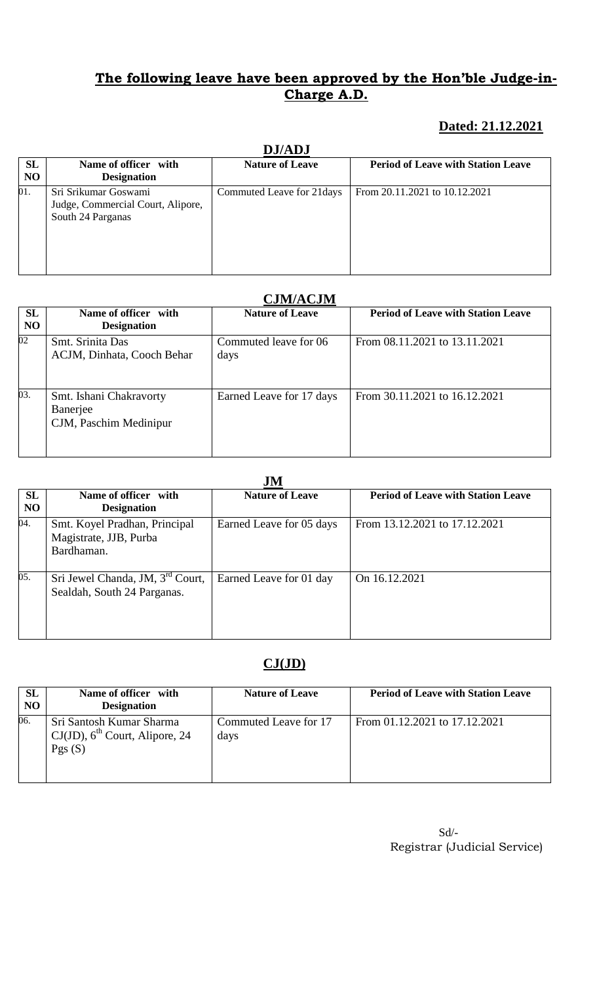## **Dated: 21.12.2021**

| <b>DJ/ADJ</b>               |                                                                                |                            |                                           |  |
|-----------------------------|--------------------------------------------------------------------------------|----------------------------|-------------------------------------------|--|
| <b>SL</b><br>N <sub>O</sub> | Name of officer with<br><b>Designation</b>                                     | <b>Nature of Leave</b>     | <b>Period of Leave with Station Leave</b> |  |
| 01.                         | Sri Srikumar Goswami<br>Judge, Commercial Court, Alipore,<br>South 24 Parganas | Commuted Leave for 21 days | From 20.11.2021 to 10.12.2021             |  |

# **DJ/ADJ**

## **CJM/ACJM**

|          | <b>CONTACOM</b>                                               |                               |                                           |  |
|----------|---------------------------------------------------------------|-------------------------------|-------------------------------------------|--|
| SL<br>NO | Name of officer with<br><b>Designation</b>                    | <b>Nature of Leave</b>        | <b>Period of Leave with Station Leave</b> |  |
| 02       | Smt. Srinita Das<br>ACJM, Dinhata, Cooch Behar                | Commuted leave for 06<br>days | From 08.11.2021 to 13.11.2021             |  |
| 03.      | Smt. Ishani Chakravorty<br>Banerjee<br>CJM, Paschim Medinipur | Earned Leave for 17 days      | From 30.11.2021 to 16.12.2021             |  |

### **JM**

| <b>JIAT</b>                 |                                                                             |                          |                                           |  |
|-----------------------------|-----------------------------------------------------------------------------|--------------------------|-------------------------------------------|--|
| <b>SL</b><br>N <sub>O</sub> | Name of officer with<br><b>Designation</b>                                  | <b>Nature of Leave</b>   | <b>Period of Leave with Station Leave</b> |  |
| 04.                         | Smt. Koyel Pradhan, Principal<br>Magistrate, JJB, Purba<br>Bardhaman.       | Earned Leave for 05 days | From 13.12.2021 to 17.12.2021             |  |
| 05.                         | Sri Jewel Chanda, JM, 3 <sup>rd</sup> Court,<br>Sealdah, South 24 Parganas. | Earned Leave for 01 day  | On 16.12.2021                             |  |

## **CJ(JD)**

| <b>SL</b><br>NO | Name of officer with<br><b>Designation</b>                                             | <b>Nature of Leave</b>        | <b>Period of Leave with Station Leave</b> |
|-----------------|----------------------------------------------------------------------------------------|-------------------------------|-------------------------------------------|
| 06.             | Sri Santosh Kumar Sharma<br>$CI(JD)$ , 6 <sup>th</sup> Court, Alipore, 24<br>Pgs $(S)$ | Commuted Leave for 17<br>days | From 01.12.2021 to 17.12.2021             |